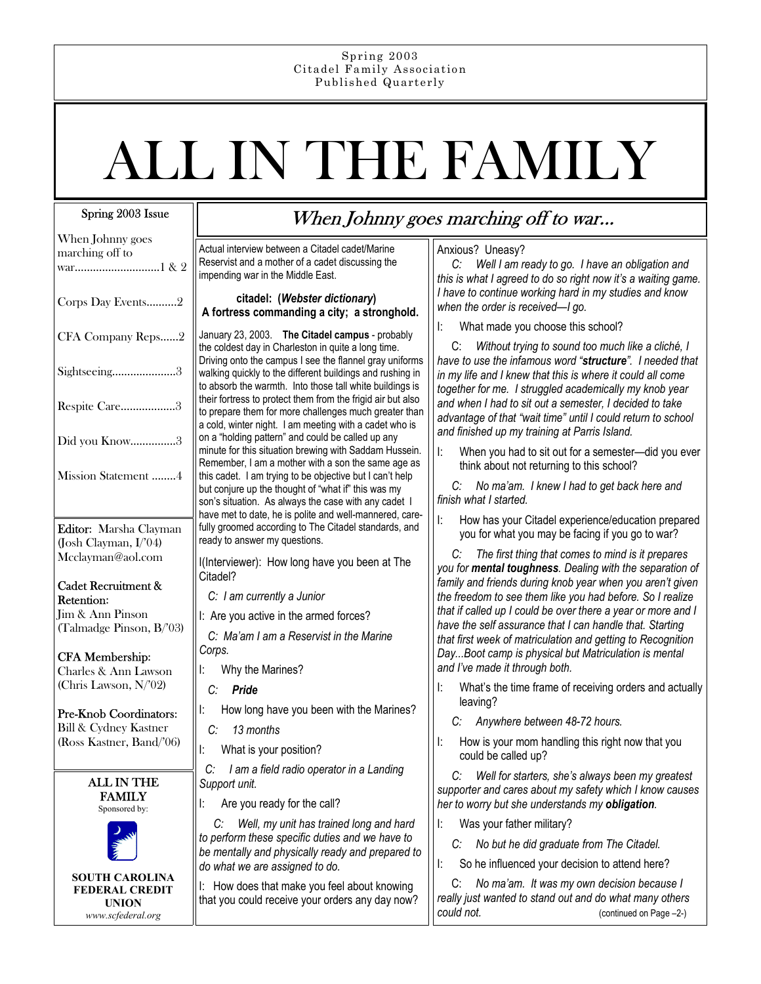#### Spring 2003 Citadel Family Association Published Quarterly

# ALL IN THE FAMILY

## Spring 2003 Issue

| When Johnny goes<br>marching off to            | Actu<br>Rese<br>impe            |
|------------------------------------------------|---------------------------------|
| Corps Day Events2                              | A fo                            |
| CFA Company Reps2                              | Janu<br>the c                   |
| Sightseeing3                                   | Drivi<br>walk<br>to ab          |
| Respite Care3                                  | their<br>to pr<br>a col         |
| Did you Know3                                  | on a<br>minu                    |
| Mission Statement 4                            | Rem<br>this o<br>but c<br>son's |
|                                                | have                            |
| Editor: Marsha Clayman                         | fully                           |
| (Josh Clayman, I/'04)                          | read                            |
| Mcclayman@aol.com                              | l(Int                           |
|                                                | Cita                            |
| Cadet Recruitment &<br>Retention:              | C:                              |
| Jim & Ann Pinson                               | I: A                            |
| (Talmadge Pinson, B/'03)                       |                                 |
|                                                | C:<br>Cory                      |
| <b>CFA Membership:</b>                         | Ŀ                               |
| Charles & Ann Lawson<br>(Chris Lawson, N/'02)  |                                 |
|                                                | C:                              |
| Pre-Knob Coordinators:                         | Ŀ                               |
| <b>Bill &amp; Cydney Kastner</b>               | C:                              |
| (Ross Kastner, Band/'06)                       | l:                              |
|                                                |                                 |
| <b>ALL IN THE</b>                              | C:<br>Sup                       |
| <b>FAMILY</b>                                  | Ŀ                               |
| Sponsored by:                                  |                                 |
|                                                | C                               |
|                                                | to pi<br>be n                   |
|                                                | do v                            |
| <b>SOUTH CAROLINA</b><br><b>FEDERAL CREDIT</b> | l:<br>ŀ                         |
|                                                |                                 |

**UNION**  *www.scfederal.org*

# When Johnny goes marching off to war...

al interview between a Citadel cadet/Marine ervist and a mother of a cadet discussing the ending war in the Middle East.

#### **citadel: (***Webster dictionary***) A fortress commanding a city; a stronghold.**

ary 23, 2003. The Citadel campus - probably coldest day in Charleston in quite a long time. ng onto the campus I see the flannel gray uniforms ing quickly to the different buildings and rushing in osorb the warmth. Into those tall white buildings is fortress to protect them from the frigid air but also epare them for more challenges much greater than ld, winter night. I am meeting with a cadet who is "holding pattern" and could be called up any Ite for this situation brewing with Saddam Hussein. ember, I am a mother with a son the same age as cadet. I am trying to be objective but I can't help conjure up the thought of "what if" this was my s situation. As always the case with any cadet I e met to date, he is polite and well-mannered, caregroomed according to The Citadel standards, and ly to answer my questions.

erviewer): How long have you been at The del?

- *l* am currently a Junior
- re you active in the armed forces?

 *C: Ma'am I am a Reservist in the Marine Corps.* 

- Why the Marines?
- $P$ *ride*
- How long have you been with the Marines?
- *C: 13 months*
- What is your position?

 *C: I am a field radio operator in a Landing Support unit.* 

Are you ready for the call?

 *C: Well, my unit has trained long and hard to perform these specific duties and we have to be mentally and physically ready and prepared to do what we are assigned to do.* 

I: How does that make you feel about knowing that you could receive your orders any day now?

## Anxious? Uneasy?

 *C: Well I am ready to go. I have an obligation and this is what I agreed to do so right now it's a waiting game. I have to continue working hard in my studies and know when the order is received—I go.* 

I: What made you choose this school?

 C: *Without trying to sound too much like a cliché, I have to use the infamous word "structure". I needed that in my life and I knew that this is where it could all come together for me. I struggled academically my knob year and when I had to sit out a semester, I decided to take advantage of that "wait time" until I could return to school and finished up my training at Parris Island.* 

I: When you had to sit out for a semester—did you ever think about not returning to this school?

 *C: No ma'am. I knew I had to get back here and finish what I started.* 

I: How has your Citadel experience/education prepared you for what you may be facing if you go to war?

 *C: The first thing that comes to mind is it prepares you for mental toughness. Dealing with the separation of family and friends during knob year when you aren't given the freedom to see them like you had before. So I realize that if called up I could be over there a year or more and I have the self assurance that I can handle that. Starting that first week of matriculation and getting to Recognition Day...Boot camp is physical but Matriculation is mental and I've made it through both.* 

- I: What's the time frame of receiving orders and actually leaving?
	- *C: Anywhere between 48-72 hours.*
- I: How is your mom handling this right now that you could be called up?

 *C: Well for starters, she's always been my greatest supporter and cares about my safety which I know causes her to worry but she understands my obligation.* 

I: Was your father military?

- *C: No but he did graduate from The Citadel.*
- I: So he influenced your decision to attend here?

 C: *No ma'am. It was my own decision because I really just wanted to stand out and do what many others could not.* (continued on Page –2-)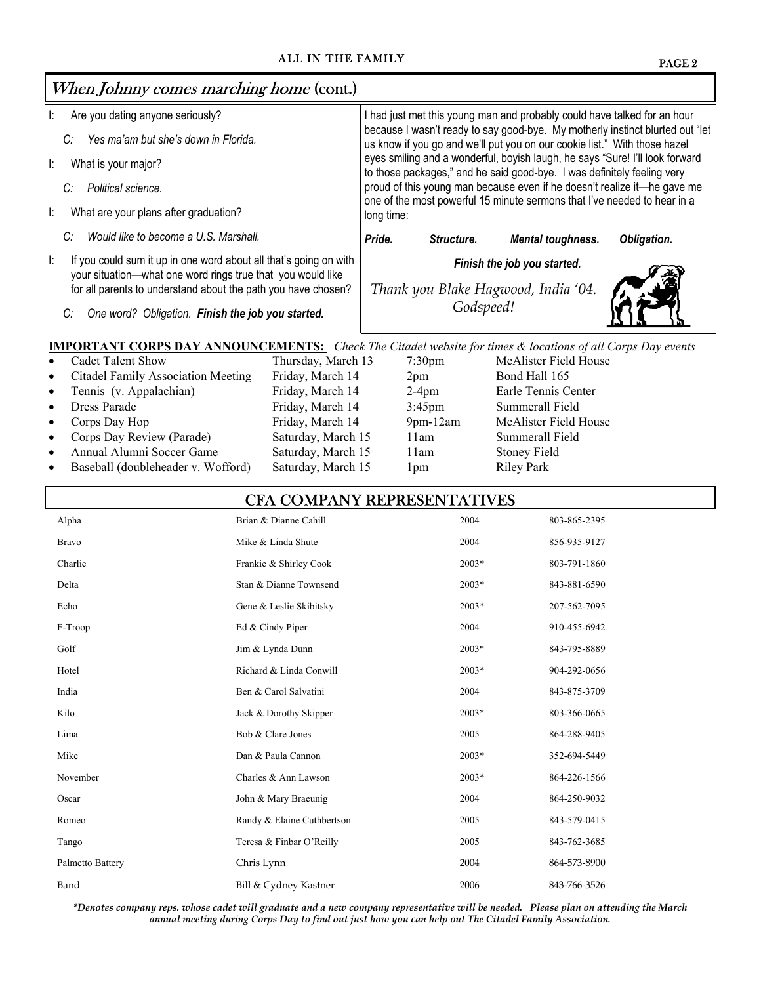| ALL IN THE FAMILY<br>PAGE <sub>2</sub>                                                                                           |                                      |                                                                                        |                                                                                                                                                            |             |  |
|----------------------------------------------------------------------------------------------------------------------------------|--------------------------------------|----------------------------------------------------------------------------------------|------------------------------------------------------------------------------------------------------------------------------------------------------------|-------------|--|
| When Johnny comes marching home (cont.)                                                                                          |                                      |                                                                                        |                                                                                                                                                            |             |  |
| Are you dating anyone seriously?<br>Ŀ.                                                                                           |                                      |                                                                                        | I had just met this young man and probably could have talked for an hour                                                                                   |             |  |
| Yes ma'am but she's down in Florida.<br>C:                                                                                       |                                      |                                                                                        | because I wasn't ready to say good-bye. My motherly instinct blurted out "let<br>us know if you go and we'll put you on our cookie list." With those hazel |             |  |
| What is your major?<br>Ŀ.                                                                                                        |                                      |                                                                                        | eyes smiling and a wonderful, boyish laugh, he says "Sure! I'll look forward                                                                               |             |  |
| Political science.<br>C:                                                                                                         |                                      |                                                                                        | to those packages," and he said good-bye. I was definitely feeling very<br>proud of this young man because even if he doesn't realize it-he gave me        |             |  |
| What are your plans after graduation?<br>Ŀ.                                                                                      |                                      | one of the most powerful 15 minute sermons that I've needed to hear in a<br>long time: |                                                                                                                                                            |             |  |
| Would like to become a U.S. Marshall.<br>C:                                                                                      |                                      | Pride.<br>Structure.                                                                   | <b>Mental toughness.</b>                                                                                                                                   | Obligation. |  |
| Ŀ.                                                                                                                               |                                      |                                                                                        |                                                                                                                                                            |             |  |
| If you could sum it up in one word about all that's going on with<br>your situation-what one word rings true that you would like |                                      | Finish the job you started.                                                            |                                                                                                                                                            |             |  |
| for all parents to understand about the path you have chosen?                                                                    |                                      | Thank you Blake Hagwood, India '04.                                                    |                                                                                                                                                            |             |  |
| One word? Obligation. Finish the job you started.<br>C:                                                                          |                                      | Godspeed!                                                                              |                                                                                                                                                            |             |  |
| <b>IMPORTANT CORPS DAY ANNOUNCEMENTS:</b> Check The Citadel website for times & locations of all Corps Day events                |                                      |                                                                                        |                                                                                                                                                            |             |  |
| <b>Cadet Talent Show</b><br>$\bullet$                                                                                            | Thursday, March 13                   | $7:30$ pm                                                                              | McAlister Field House                                                                                                                                      |             |  |
| <b>Citadel Family Association Meeting</b><br>$\bullet$                                                                           | Friday, March 14                     | 2pm                                                                                    | Bond Hall 165                                                                                                                                              |             |  |
| Tennis (v. Appalachian)<br>$\bullet$<br><b>Dress Parade</b><br>$\bullet$                                                         | Friday, March 14<br>Friday, March 14 | $2-4$ pm<br>$3:45$ pm                                                                  | Earle Tennis Center<br>Summerall Field                                                                                                                     |             |  |
| Corps Day Hop<br>$\bullet$                                                                                                       | Friday, March 14                     | $9$ pm- $12$ am                                                                        | McAlister Field House                                                                                                                                      |             |  |
| Corps Day Review (Parade)<br>$\bullet$                                                                                           | Saturday, March 15                   | 11am                                                                                   | Summerall Field                                                                                                                                            |             |  |
| Annual Alumni Soccer Game<br>$\bullet$                                                                                           | Saturday, March 15                   | 11am                                                                                   | <b>Stoney Field</b>                                                                                                                                        |             |  |
| Baseball (doubleheader v. Wofford)                                                                                               | Saturday, March 15                   | 1 <sub>pm</sub>                                                                        | <b>Riley Park</b>                                                                                                                                          |             |  |
| <b>CFA COMPANY REPRESENTATIVES</b>                                                                                               |                                      |                                                                                        |                                                                                                                                                            |             |  |
| Alpha                                                                                                                            | Brian & Dianne Cahill                | 2004                                                                                   | 803-865-2395                                                                                                                                               |             |  |
| <b>Bravo</b>                                                                                                                     | Mike & Linda Shute                   | 2004                                                                                   | 856-935-9127                                                                                                                                               |             |  |
| Charlie                                                                                                                          | Frankie & Shirley Cook               | $2003*$                                                                                | 803-791-1860                                                                                                                                               |             |  |
| Delta                                                                                                                            | Stan & Dianne Townsend               | $2003*$                                                                                | 843-881-6590                                                                                                                                               |             |  |
| Echo                                                                                                                             | Gene & Leslie Skibitsky              | 2003*                                                                                  | 207-562-7095                                                                                                                                               |             |  |
| F-Troop                                                                                                                          | Ed & Cindy Piper                     | 2004                                                                                   | 910-455-6942                                                                                                                                               |             |  |
| Golf                                                                                                                             | Jim & Lynda Dunn                     | 2003*                                                                                  | 843-795-8889                                                                                                                                               |             |  |
| Hotel                                                                                                                            | Richard & Linda Conwill              | $2003*$                                                                                | 904-292-0656                                                                                                                                               |             |  |
| India                                                                                                                            | Ben & Carol Salvatini                | 2004                                                                                   | 843-875-3709                                                                                                                                               |             |  |
| Kilo                                                                                                                             | Jack & Dorothy Skipper               | 2003*                                                                                  | 803-366-0665                                                                                                                                               |             |  |
| Lima                                                                                                                             | Bob & Clare Jones                    | 2005                                                                                   | 864-288-9405                                                                                                                                               |             |  |
| Mike                                                                                                                             | Dan & Paula Cannon                   | 2003*                                                                                  | 352-694-5449                                                                                                                                               |             |  |
| November                                                                                                                         | Charles & Ann Lawson                 | $2003*$                                                                                | 864-226-1566                                                                                                                                               |             |  |
| Oscar                                                                                                                            | John & Mary Braeunig                 | 2004                                                                                   | 864-250-9032                                                                                                                                               |             |  |
| Romeo                                                                                                                            | Randy & Elaine Cuthbertson           | 2005                                                                                   | 843-579-0415                                                                                                                                               |             |  |
| Tango                                                                                                                            | Teresa & Finbar O'Reilly             | 2005                                                                                   | 843-762-3685                                                                                                                                               |             |  |
| Palmetto Battery                                                                                                                 | Chris Lynn                           | 2004                                                                                   | 864-573-8900                                                                                                                                               |             |  |
| Band                                                                                                                             | Bill & Cydney Kastner                | 2006                                                                                   | 843-766-3526                                                                                                                                               |             |  |

*\*Denotes company reps. whose cadet will graduate and a new company representative will be needed. Please plan on attending the March annual meeting during Corps Day to find out just how you can help out The Citadel Family Association.*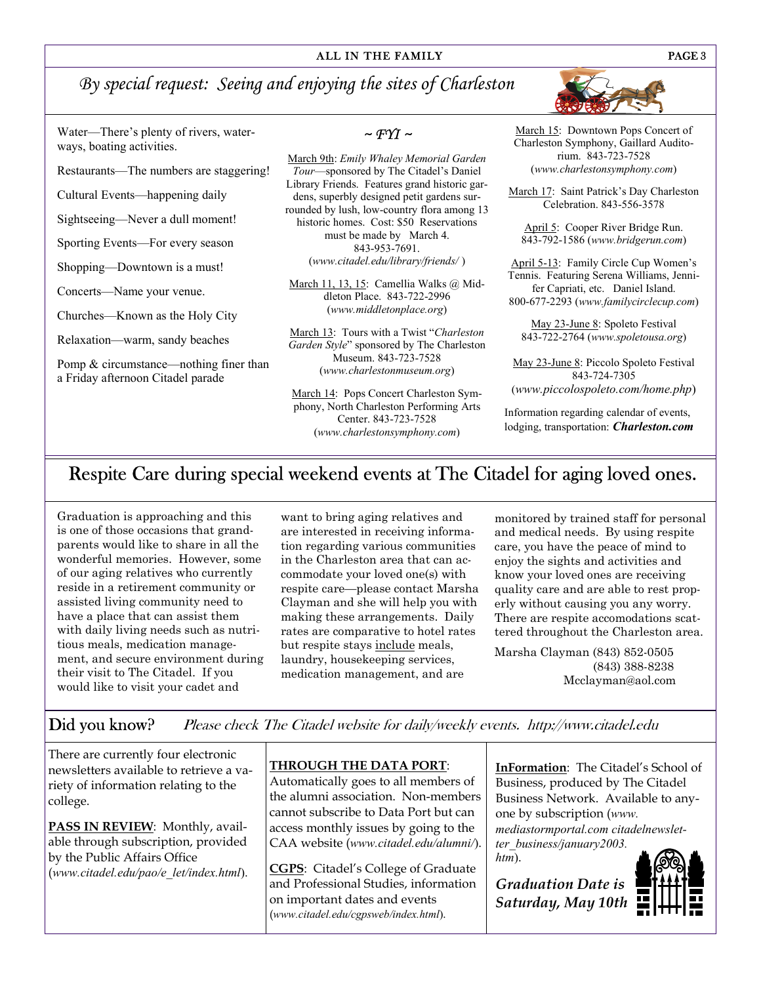## *By special request: Seeing and enjoying the sites of Charleston*

Water—There's plenty of rivers, waterways, boating activities.

Restaurants—The numbers are staggering!

Cultural Events—happening daily

Sightseeing—Never a dull moment!

Sporting Events—For every season

Shopping—Downtown is a must!

Concerts—Name your venue.

Churches—Known as the Holy City

Relaxation—warm, sandy beaches

Pomp & circumstance—nothing finer than a Friday afternoon Citadel parade

 $\sim$  FYI  $\sim$ 

March 9th: *Emily Whaley Memorial Garden Tour*—sponsored by The Citadel's Daniel Library Friends. Features grand historic gardens, superbly designed petit gardens surrounded by lush, low-country flora among 13 historic homes. Cost: \$50 Reservations must be made by March 4. 843-953-7691. (*www.citadel.edu/library/friends/* )

March 11, 13, 15: Camellia Walks @ Middleton Place. 843-722-2996 (*www.middletonplace.org*)

March 13: Tours with a Twist "*Charleston Garden Style*" sponsored by The Charleston Museum. 843-723-7528 (*www.charlestonmuseum.org*)

March 14: Pops Concert Charleston Symphony, North Charleston Performing Arts Center. 843-723-7528 (*www.charlestonsymphony.com*)

March 15: Downtown Pops Concert of Charleston Symphony, Gaillard Auditorium. 843-723-7528 (*www.charlestonsymphony.com*)

March 17: Saint Patrick's Day Charleston Celebration. 843-556-3578

April 5: Cooper River Bridge Run. 843-792-1586 (*www.bridgerun.com*)

April 5-13: Family Circle Cup Women's Tennis. Featuring Serena Williams, Jennifer Capriati, etc. Daniel Island. 800-677-2293 (*www.familycirclecup.com*)

May 23-June 8: Spoleto Festival 843-722-2764 (*www.spoletousa.org*)

May 23-June 8: Piccolo Spoleto Festival 843-724-7305 (*www.piccolospoleto.com/home.php*)

Information regarding calendar of events, lodging, transportation: *Charleston.com*

## Respite Care during special weekend events at The Citadel for aging loved ones.

Graduation is approaching and this is one of those occasions that grandparents would like to share in all the wonderful memories. However, some of our aging relatives who currently reside in a retirement community or assisted living community need to have a place that can assist them with daily living needs such as nutritious meals, medication management, and secure environment during their visit to The Citadel. If you would like to visit your cadet and

want to bring aging relatives and are interested in receiving information regarding various communities in the Charleston area that can accommodate your loved one(s) with respite care—please contact Marsha Clayman and she will help you with making these arrangements. Daily rates are comparative to hotel rates but respite stays include meals, laundry, housekeeping services, medication management, and are

monitored by trained staff for personal and medical needs. By using respite care, you have the peace of mind to enjoy the sights and activities and know your loved ones are receiving quality care and are able to rest properly without causing you any worry. There are respite accomodations scattered throughout the Charleston area.

Marsha Clayman (843) 852-0505 (843) 388-8238 Mcclayman@aol.com

Did you know? Please check The Citadel website for daily/weekly events. http://www.citadel.edu

There are currently four electronic newsletters available to retrieve a variety of information relating to the college.

**PASS IN REVIEW**: Monthly, available through subscription, provided by the Public Affairs Office (*www.citadel.edu/pao/e\_let/index.html*).

## **THROUGH THE DATA PORT**:

Automatically goes to all members of the alumni association. Non-members cannot subscribe to Data Port but can access monthly issues by going to the CAA website (*www.citadel.edu/alumni/*).

**CGPS**: Citadel's College of Graduate and Professional Studies, information on important dates and events (*www.citadel.edu/cgpsweb/index.html*).

**InFormation**: The Citadel's School of Business, produced by The Citadel Business Network. Available to anyone by subscription (*www. mediastormportal.com citadelnewsletter\_business/january2003. htm*).

*Graduation Date is Saturday, May 10th*